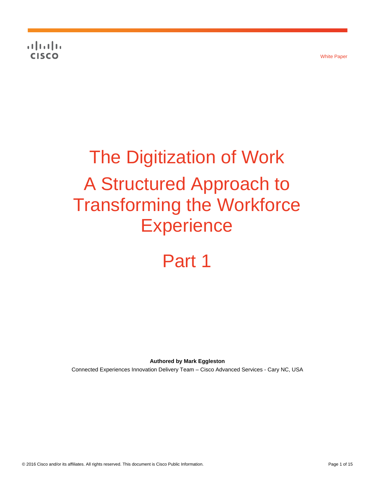**CISCO** 

# The Digitization of Work A Structured Approach to Transforming the Workforce **Experience**

## Part 1

**Authored by Mark Eggleston**

Connected Experiences Innovation Delivery Team – Cisco Advanced Services - Cary NC, USA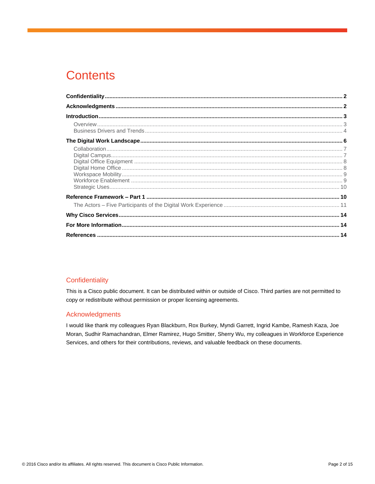### **Contents**

#### <span id="page-1-0"></span>Confidentiality

This is a Cisco public document. It can be distributed within or outside of Cisco. Third parties are not permitted to copy or redistribute without permission or proper licensing agreements.

#### <span id="page-1-1"></span>Acknowledgments

I would like thank my colleagues Ryan Blackburn, Rox Burkey, Myndi Garrett, Ingrid Kambe, Ramesh Kaza, Joe Moran, Sudhir Ramachandran, Elmer Ramirez, Hugo Smitter, Sherry Wu, my colleagues in Workforce Experience Services, and others for their contributions, reviews, and valuable feedback on these documents.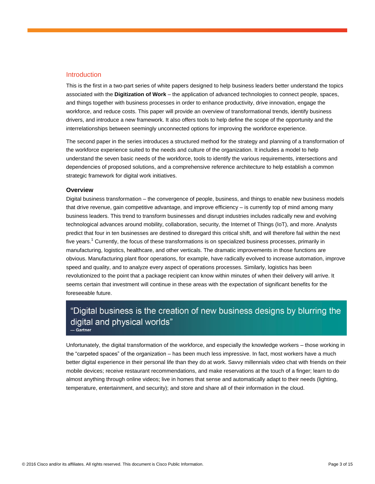#### <span id="page-2-0"></span>**Introduction**

This is the first in a two-part series of white papers designed to help business leaders better understand the topics associated with the **Digitization of Work** – the application of advanced technologies to connect people, spaces, and things together with business processes in order to enhance productivity, drive innovation, engage the workforce, and reduce costs. This paper will provide an overview of transformational trends, identify business drivers, and introduce a new framework. It also offers tools to help define the scope of the opportunity and the interrelationships between seemingly unconnected options for improving the workforce experience.

The second paper in the series introduces a structured method for the strategy and planning of a transformation of the workforce experience suited to the needs and culture of the organization. It includes a model to help understand the seven basic needs of the workforce, tools to identify the various requirements, intersections and dependencies of proposed solutions, and a comprehensive reference architecture to help establish a common strategic framework for digital work initiatives.

#### <span id="page-2-1"></span>**Overview**

Digital business transformation – the convergence of people, business, and things to enable new business models that drive revenue, gain competitive advantage, and improve efficiency – is currently top of mind among many business leaders. This trend to transform businesses and disrupt industries includes radically new and evolving technological advances around mobility, collaboration, security, the Internet of Things (IoT), and more. Analysts predict that four in ten businesses are destined to disregard this critical shift, and will therefore fail within the next five years.<sup>1</sup> Currently, the focus of these transformations is on specialized business processes, primarily in manufacturing, logistics, healthcare, and other verticals. The dramatic improvements in those functions are obvious. Manufacturing plant floor operations, for example, have radically evolved to increase automation, improve speed and quality, and to analyze every aspect of operations processes. Similarly, logistics has been revolutionized to the point that a package recipient can know within minutes of when their delivery will arrive. It seems certain that investment will continue in these areas with the expectation of significant benefits for the foreseeable future.

#### "Digital business is the creation of new business designs by blurring the digital and physical worlds" - Gartner

Unfortunately, the digital transformation of the workforce, and especially the knowledge workers – those working in the "carpeted spaces" of the organization – has been much less impressive. In fact, most workers have a much better digital experience in their personal life than they do at work. Savvy millennials video chat with friends on their mobile devices; receive restaurant recommendations, and make reservations at the touch of a finger; learn to do almost anything through online videos; live in homes that sense and automatically adapt to their needs (lighting, temperature, entertainment, and security); and store and share all of their information in the cloud.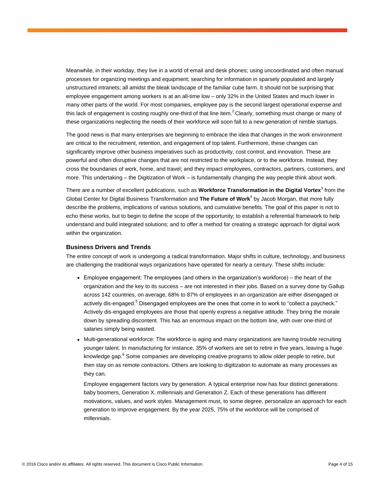Meanwhile, in their workday, they live in a world of email and desk phones; using uncoordinated and often manual processes for organizing meetings and equipment; searching for information in sparsely populated and largely unstructured intranets; all amidst the bleak landscape of the familiar cube farm. It should not be surprising that employee engagement among workers is at an all-time low – only 32% in the United States and much lower in many other parts of the world. For most companies, employee pay is the second largest operational expense and this lack of engagement is costing roughly one-third of that line item.<sup>2</sup> Clearly, something must change or many of these organizations neglecting the needs of their workforce will soon fall to a new generation of nimble startups.

The good news is that many enterprises are beginning to embrace the idea that changes in the work environment are critical to the recruitment, retention, and engagement of top talent. Furthermore, these changes can significantly improve other business imperatives such as productivity, cost control, and innovation. These are powerful and often disruptive changes that are not restricted to the workplace, or to the workforce. Instead, they cross the boundaries of work, home, and travel; and they impact employees, contractors, partners, customers, and more. This undertaking – the Digitization of Work – is fundamentally changing the way people think about work.

There are a number of excellent publications, such as **Workforce Transformation in the Digital Vortex**<sup>3</sup> from the Global Center for Digital Business Transformation and The Future of Work<sup>4</sup> by Jacob Morgan, that more fully describe the problems, implications of various solutions, and cumulative benefits. The goal of this paper is not to echo these works, but to begin to define the scope of the opportunity; to establish a referential framework to help understand and build integrated solutions; and to offer a method for creating a strategic approach for digital work within the organization.

#### <span id="page-3-0"></span>**Business Drivers and Trends**

The entire concept of work is undergoing a radical transformation. Major shifts in culture, technology, and business are challenging the traditional ways organizations have operated for nearly a century. These shifts include:

- Employee engagement: The employees (and others in the organization's workforce) the heart of the organization and the key to its success – are not interested in their jobs. Based on a survey done by Gallup across 142 countries, on average, 68% to 87% of employees in an organization are either disengaged or actively dis-engaged.<sup>5</sup> Disengaged employees are the ones that come in to work to "collect a paycheck." Actively dis-engaged employees are those that openly express a negative attitude. They bring the morale down by spreading discontent. This has an enormous impact on the bottom line, with over one-third of salaries simply being wasted.
- Multi-generational workforce: The workforce is aging and many organizations are having trouble recruiting younger talent. In manufacturing for instance, 35% of workers are set to retire in five years, leaving a huge knowledge gap.<sup>6</sup> Some companies are developing creative programs to allow older people to retire, but then stay on as remote contractors. Others are looking to digitization to automate as many processes as they can.

Employee engagement factors vary by generation. A typical enterprise now has four distinct generations: baby boomers, Generation X, millennials and Generation Z. Each of these generations has different motivations, values, and work styles. Management must, to some degree, personalize an approach for each generation to improve engagement. By the year 2025, 75% of the workforce will be comprised of millennials.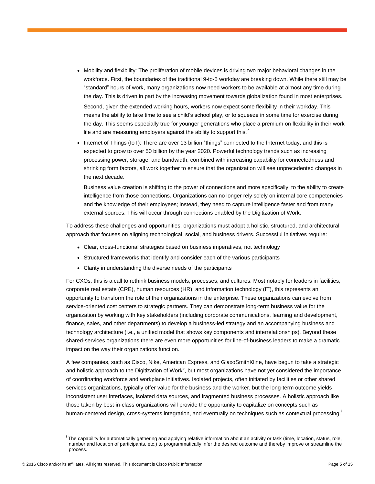● Mobility and flexibility: The proliferation of mobile devices is driving two major behavioral changes in the workforce. First, the boundaries of the traditional 9-to-5 workday are breaking down. While there still may be "standard" hours of work, many organizations now need workers to be available at almost any time during the day. This is driven in part by the increasing movement towards globalization found in most enterprises.

Second, given the extended working hours, workers now expect some flexibility in their workday. This means the ability to take time to see a child's school play, or to squeeze in some time for exercise during the day. This seems especially true for younger generations who place a premium on flexibility in their work life and are measuring employers against the ability to support this.

Internet of Things (IoT): There are over 13 billion "things" connected to the Internet today, and this is expected to grow to over 50 billion by the year 2020. Powerful technology trends such as increasing processing power, storage, and bandwidth, combined with increasing capability for connectedness and shrinking form factors, all work together to ensure that the organization will see unprecedented changes in the next decade.

Business value creation is shifting to the power of connections and more specifically, to the ability to create intelligence from those connections. Organizations can no longer rely solely on internal core competencies and the knowledge of their employees; instead, they need to capture intelligence faster and from many external sources. This will occur through connections enabled by the Digitization of Work.

To address these challenges and opportunities, organizations must adopt a holistic, structured, and architectural approach that focuses on aligning technological, social, and business drivers. Successful initiatives require:

- Clear, cross-functional strategies based on business imperatives, not technology
- Structured frameworks that identify and consider each of the various participants
- Clarity in understanding the diverse needs of the participants

For CXOs, this is a call to rethink business models, processes, and cultures. Most notably for leaders in facilities, corporate real estate (CRE), human resources (HR), and information technology (IT), this represents an opportunity to transform the role of their organizations in the enterprise. These organizations can evolve from service-oriented cost centers to strategic partners. They can demonstrate long-term business value for the organization by working with key stakeholders (including corporate communications, learning and development, finance, sales, and other departments) to develop a business-led strategy and an accompanying business and technology architecture (i.e., a unified model that shows key components and interrelationships). Beyond these shared-services organizations there are even more opportunities for line-of-business leaders to make a dramatic impact on the way their organizations function.

A few companies, such as Cisco, Nike, American Express, and GlaxoSmithKline, have begun to take a strategic and holistic approach to the Digitization of Work $^8$ , but most organizations have not yet considered the importance of coordinating workforce and workplace initiatives. Isolated projects, often initiated by facilities or other shared services organizations, typically offer value for the business and the worker, but the long-term outcome yields inconsistent user interfaces, isolated data sources, and fragmented business processes. A holistic approach like those taken by best-in-class organizations will provide the opportunity to capitalize on concepts such as human-centered design, cross-systems integration, and eventually on techniques such as contextual processing.

i The capability for automatically gathering and applying relative information about an activity or task (time, location, status, role, number and location of participants, etc.) to programmatically infer the desired outcome and thereby improve or streamline the process.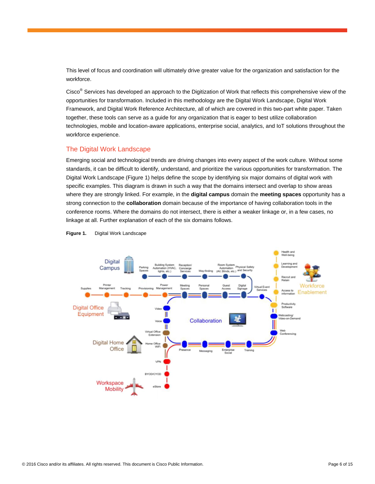This level of focus and coordination will ultimately drive greater value for the organization and satisfaction for the workforce.

Cisco<sup>®</sup> Services has developed an approach to the Digitization of Work that reflects this comprehensive view of the opportunities for transformation. Included in this methodology are the Digital Work Landscape, Digital Work Framework, and Digital Work Reference Architecture, all of which are covered in this two-part white paper. Taken together, these tools can serve as a guide for any organization that is eager to best utilize collaboration technologies, mobile and location-aware applications, enterprise social, analytics, and IoT solutions throughout the workforce experience.

#### <span id="page-5-0"></span>The Digital Work Landscape

Emerging social and technological trends are driving changes into every aspect of the work culture. Without some standards, it can be difficult to identify, understand, and prioritize the various opportunities for transformation. The Digital Work Landscape (Figure 1) helps define the scope by identifying six major domains of digital work with specific examples. This diagram is drawn in such a way that the domains intersect and overlap to show areas where they are strongly linked. For example, in the **digital campus** domain the **meeting spaces** opportunity has a strong connection to the **collaboration** domain because of the importance of having collaboration tools in the conference rooms. Where the domains do not intersect, there is either a weaker linkage or, in a few cases, no linkage at all. Further explanation of each of the six domains follows.



#### **Figure 1.** Digital Work Landscape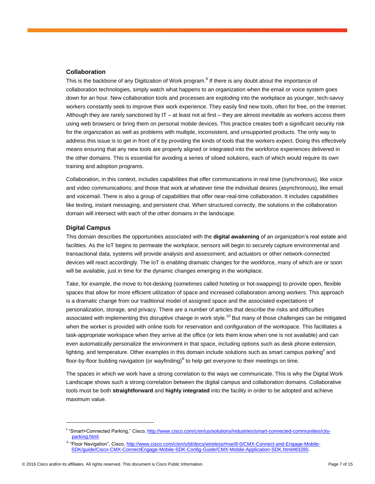#### <span id="page-6-0"></span>**Collaboration**

This is the backbone of any Digitization of Work program.<sup>9</sup> If there is any doubt about the importance of collaboration technologies, simply watch what happens to an organization when the email or voice system goes down for an hour. New collaboration tools and processes are exploding into the workplace as younger, tech-savvy workers constantly seek to improve their work experience. They easily find new tools, often for free, on the Internet. Although they are rarely sanctioned by IT – at least not at first – they are almost inevitable as workers access them using web browsers or bring them on personal mobile devices. This practice creates both a significant security risk for the organization as well as problems with multiple, inconsistent, and unsupported products. The only way to address this issue is to get in front of it by providing the kinds of tools that the workers expect. Doing this effectively means ensuring that any new tools are properly aligned or integrated into the workforce experiences delivered in the other domains. This is essential for avoiding a series of siloed solutions, each of which would require its own training and adoption programs.

Collaboration, in this context, includes capabilities that offer communications in real time (synchronous), like voice and video communications; and those that work at whatever time the individual desires (asynchronous), like email and voicemail. There is also a group of capabilities that offer near-real-time collaboration. It includes capabilities like texting, instant messaging, and persistent chat. When structured correctly, the solutions in the collaboration domain will intersect with each of the other domains in the landscape.

#### <span id="page-6-1"></span>**Digital Campus**

This domain describes the opportunities associated with the **digital awakening** of an organization's real estate and facilities. As the IoT begins to permeate the workplace, sensors will begin to securely capture environmental and transactional data; systems will provide analysis and assessment; and actuators or other network-connected devices will react accordingly. The IoT is enabling dramatic changes for the workforce, many of which are or soon will be available, just in time for the dynamic changes emerging in the workplace.

Take, for example, the move to hot-desking (sometimes called hoteling or hot-swapping) to provide open, flexible spaces that allow for more efficient utilization of space and increased collaboration among workers. This approach is a dramatic change from our traditional model of assigned space and the associated expectations of personalization, storage, and privacy. There are a number of articles that describe the risks and difficulties associated with implementing this disruptive change in work style.<sup>10</sup> But many of those challenges can be mitigated when the worker is provided with online tools for reservation and configuration of the workspace. This facilitates a task-appropriate workspace when they arrive at the office (or lets them know when one is not available) and can even automatically personalize the environment in that space, including options such as desk phone extension, lighting, and temperature. Other examples in this domain include solutions such as smart campus parking<sup>ii</sup> and floor-by-floor building navigation (or wayfinding) $^{\text{iii}}$  to help get everyone to their meetings on time.

The spaces in which we work have a strong correlation to the ways we communicate. This is why the Digital Work Landscape shows such a strong correlation between the digital campus and collaboration domains. Collaborative tools must be both **straightforward** and **highly integrated** into the facility in order to be adopted and achieve maximum value.

iiiiif Smart+Connected Parking," Cisco, [http://www.cisco.com/c/en/us/solutions/industries/smart-connected-communities/city](http://www.cisco.com/c/en/us/solutions/industries/smart-connected-communities/city-parking.html)[parking.html.](http://www.cisco.com/c/en/us/solutions/industries/smart-connected-communities/city-parking.html)

iii "Floor Navigation", Cisco, [http://www.cisco.com/c/en/s/td/docs/wireless/mse/8-0/CMX-Connect-and-Engage-Mobile-](http://www.cisco.com/c/en/s/td/docs/wireless/mse/8-0/CMX-Connect-and-Engage-Mobile-SDK/guide/Cisco-CMX-ConnectEngage-Mobile-SDK-Config-Guide/CMX-Mobile-Application-SDK.html#83285)[SDK/guide/Cisco-CMX-ConnectEngage-Mobile-SDK-Config-Guide/CMX-Mobile-Application-SDK.html#83285.](http://www.cisco.com/c/en/s/td/docs/wireless/mse/8-0/CMX-Connect-and-Engage-Mobile-SDK/guide/Cisco-CMX-ConnectEngage-Mobile-SDK-Config-Guide/CMX-Mobile-Application-SDK.html#83285)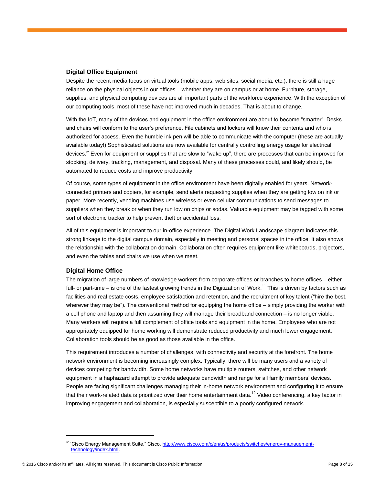#### <span id="page-7-0"></span>**Digital Office Equipment**

Despite the recent media focus on virtual tools (mobile apps, web sites, social media, etc.), there is still a huge reliance on the physical objects in our offices – whether they are on campus or at home. Furniture, storage, supplies, and physical computing devices are all important parts of the workforce experience. With the exception of our computing tools, most of these have not improved much in decades. That is about to change.

With the IoT, many of the devices and equipment in the office environment are about to become "smarter". Desks and chairs will conform to the user's preference. File cabinets and lockers will know their contents and who is authorized for access. Even the humble ink pen will be able to communicate with the computer (these are actually available today!) Sophisticated solutions are now available for centrally controlling energy usage for electrical devices.<sup>IV</sup> Even for equipment or supplies that are slow to "wake up", there are processes that can be improved for stocking, delivery, tracking, management, and disposal. Many of these processes could, and likely should, be automated to reduce costs and improve productivity.

Of course, some types of equipment in the office environment have been digitally enabled for years. Networkconnected printers and copiers, for example, send alerts requesting supplies when they are getting low on ink or paper. More recently, vending machines use wireless or even cellular communications to send messages to suppliers when they break or when they run low on chips or sodas. Valuable equipment may be tagged with some sort of electronic tracker to help prevent theft or accidental loss.

All of this equipment is important to our in-office experience. The Digital Work Landscape diagram indicates this strong linkage to the digital campus domain, especially in meeting and personal spaces in the office. It also shows the relationship with the collaboration domain. Collaboration often requires equipment like whiteboards, projectors, and even the tables and chairs we use when we meet.

#### <span id="page-7-1"></span>**Digital Home Office**

The migration of large numbers of knowledge workers from corporate offices or branches to home offices – either full- or part-time – is one of the fastest growing trends in the Digitization of Work.<sup>11</sup> This is driven by factors such as facilities and real estate costs, employee satisfaction and retention, and the recruitment of key talent ("hire the best, wherever they may be"). The conventional method for equipping the home office – simply providing the worker with a cell phone and laptop and then assuming they will manage their broadband connection – is no longer viable. Many workers will require a full complement of office tools and equipment in the home. Employees who are not appropriately equipped for home working will demonstrate reduced productivity and much lower engagement. Collaboration tools should be as good as those available in the office.

This requirement introduces a number of challenges, with connectivity and security at the forefront. The home network environment is becoming increasingly complex. Typically, there will be many users and a variety of devices competing for bandwidth. Some home networks have multiple routers, switches, and other network equipment in a haphazard attempt to provide adequate bandwidth and range for all family members' devices. People are facing significant challenges managing their in-home network environment and configuring it to ensure that their work-related data is prioritized over their home entertainment data.<sup>12</sup> Video conferencing, a key factor in improving engagement and collaboration, is especially susceptible to a poorly configured network.

iv "Cisco Energy Management Suite," Cisco, [http://www.cisco.com/c/en/us/products/switches/energy-management](http://www.cisco.com/c/en/us/products/switches/energy-management-technology/index.html)[technology/index.html.](http://www.cisco.com/c/en/us/products/switches/energy-management-technology/index.html)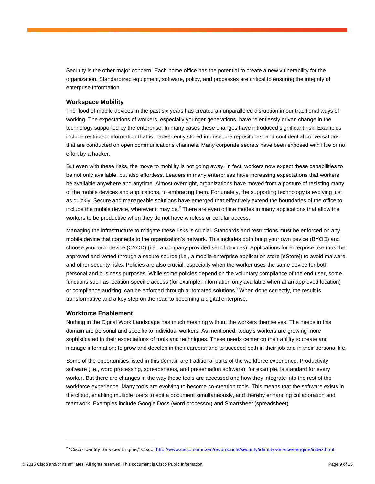Security is the other major concern. Each home office has the potential to create a new vulnerability for the organization. Standardized equipment, software, policy, and processes are critical to ensuring the integrity of enterprise information.

#### <span id="page-8-0"></span>**Workspace Mobility**

The flood of mobile devices in the past six years has created an unparalleled disruption in our traditional ways of working. The expectations of workers, especially younger generations, have relentlessly driven change in the technology supported by the enterprise. In many cases these changes have introduced significant risk. Examples include restricted information that is inadvertently stored in unsecure repositories, and confidential conversations that are conducted on open communications channels. Many corporate secrets have been exposed with little or no effort by a hacker.

But even with these risks, the move to mobility is not going away. In fact, workers now expect these capabilities to be not only available, but also effortless. Leaders in many enterprises have increasing expectations that workers be available anywhere and anytime. Almost overnight, organizations have moved from a posture of resisting many of the mobile devices and applications, to embracing them. Fortunately, the supporting technology is evolving just as quickly. Secure and manageable solutions have emerged that effectively extend the boundaries of the office to include the mobile device, wherever it may be.  $\check{ }$  There are even offline modes in many applications that allow the workers to be productive when they do not have wireless or cellular access.

Managing the infrastructure to mitigate these risks is crucial. Standards and restrictions must be enforced on any mobile device that connects to the organization's network. This includes both bring your own device (BYOD) and choose your own device (CYOD) (i.e., a company-provided set of devices). Applications for enterprise use must be approved and vetted through a secure source (i.e., a mobile enterprise application store [eStore]) to avoid malware and other security risks. Policies are also crucial, especially when the worker uses the same device for both personal and business purposes. While some policies depend on the voluntary compliance of the end user, some functions such as location-specific access (for example, information only available when at an approved location) or compliance auditing, can be enforced through automated solutions. When done correctly, the result is transformative and a key step on the road to becoming a digital enterprise.

#### <span id="page-8-1"></span>**Workforce Enablement**

Nothing in the Digital Work Landscape has much meaning without the workers themselves. The needs in this domain are personal and specific to individual workers. As mentioned, today's workers are growing more sophisticated in their expectations of tools and techniques. These needs center on their ability to create and manage information; to grow and develop in their careers; and to succeed both in their job and in their personal life.

Some of the opportunities listed in this domain are traditional parts of the workforce experience. Productivity software (i.e., word processing, spreadsheets, and presentation software), for example, is standard for every worker. But there are changes in the way those tools are accessed and how they integrate into the rest of the workforce experience. Many tools are evolving to become co-creation tools. This means that the software exists in the cloud, enabling multiple users to edit a document simultaneously, and thereby enhancing collaboration and teamwork. Examples include Google Docs (word processor) and Smartsheet (spreadsheet).

v "Cisco Identity Services Engine," Cisco, [http://www.cisco.com/c/en/us/products/security/identity-services-engine/index.html.](http://www.cisco.com/c/en/us/products/security/identity-services-engine/index.html)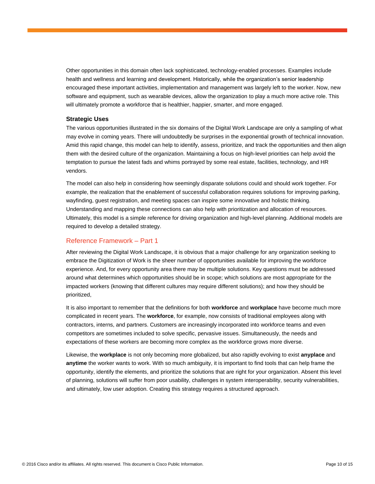Other opportunities in this domain often lack sophisticated, technology-enabled processes. Examples include health and wellness and learning and development. Historically, while the organization's senior leadership encouraged these important activities, implementation and management was largely left to the worker. Now, new software and equipment, such as wearable devices, allow the organization to play a much more active role. This will ultimately promote a workforce that is healthier, happier, smarter, and more engaged.

#### <span id="page-9-0"></span>**Strategic Uses**

The various opportunities illustrated in the six domains of the Digital Work Landscape are only a sampling of what may evolve in coming years. There will undoubtedly be surprises in the exponential growth of technical innovation. Amid this rapid change, this model can help to identify, assess, prioritize, and track the opportunities and then align them with the desired culture of the organization. Maintaining a focus on high-level priorities can help avoid the temptation to pursue the latest fads and whims portrayed by some real estate, facilities, technology, and HR vendors.

The model can also help in considering how seemingly disparate solutions could and should work together. For example, the realization that the enablement of successful collaboration requires solutions for improving parking, wayfinding, guest registration, and meeting spaces can inspire some innovative and holistic thinking. Understanding and mapping these connections can also help with prioritization and allocation of resources. Ultimately, this model is a simple reference for driving organization and high-level planning. Additional models are required to develop a detailed strategy.

#### <span id="page-9-1"></span>Reference Framework – Part 1

After reviewing the Digital Work Landscape, it is obvious that a major challenge for any organization seeking to embrace the Digitization of Work is the sheer number of opportunities available for improving the workforce experience. And, for every opportunity area there may be multiple solutions. Key questions must be addressed around what determines which opportunities should be in scope; which solutions are most appropriate for the impacted workers (knowing that different cultures may require different solutions); and how they should be prioritized,

It is also important to remember that the definitions for both **workforce** and **workplace** have become much more complicated in recent years. The **workforce**, for example, now consists of traditional employees along with contractors, interns, and partners. Customers are increasingly incorporated into workforce teams and even competitors are sometimes included to solve specific, pervasive issues. Simultaneously, the needs and expectations of these workers are becoming more complex as the workforce grows more diverse.

Likewise, the **workplace** is not only becoming more globalized, but also rapidly evolving to exist **anyplace** and **anytime** the worker wants to work. With so much ambiguity, it is important to find tools that can help frame the opportunity, identify the elements, and prioritize the solutions that are right for your organization. Absent this level of planning, solutions will suffer from poor usability, challenges in system interoperability, security vulnerabilities, and ultimately, low user adoption. Creating this strategy requires a structured approach.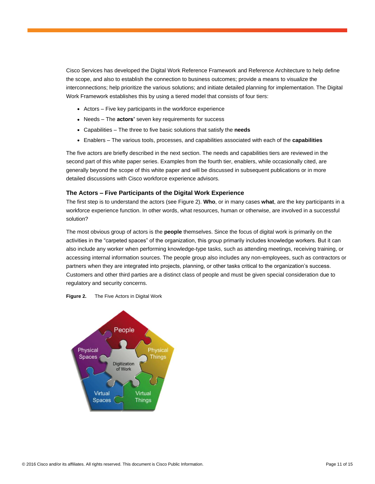Cisco Services has developed the Digital Work Reference Framework and Reference Architecture to help define the scope, and also to establish the connection to business outcomes; provide a means to visualize the interconnections; help prioritize the various solutions; and initiate detailed planning for implementation. The Digital Work Framework establishes this by using a tiered model that consists of four tiers:

- Actors Five key participants in the workforce experience
- Needs The **actors'** seven key requirements for success
- Capabilities The three to five basic solutions that satisfy the **needs**
- Enablers The various tools, processes, and capabilities associated with each of the **capabilities**

The five actors are briefly described in the next section. The needs and capabilities tiers are reviewed in the second part of this white paper series. Examples from the fourth tier, enablers, while occasionally cited, are generally beyond the scope of this white paper and will be discussed in subsequent publications or in more detailed discussions with Cisco workforce experience advisors.

#### <span id="page-10-0"></span>**The Actors – Five Participants of the Digital Work Experience**

The first step is to understand the actors (see Figure 2). **Who**, or in many cases **what**, are the key participants in a workforce experience function. In other words, what resources, human or otherwise, are involved in a successful solution?

The most obvious group of actors is the **people** themselves. Since the focus of digital work is primarily on the activities in the "carpeted spaces" of the organization, this group primarily includes knowledge workers. But it can also include any worker when performing knowledge-type tasks, such as attending meetings, receiving training, or accessing internal information sources. The people group also includes any non-employees, such as contractors or partners when they are integrated into projects, planning, or other tasks critical to the organization's success. Customers and other third parties are a distinct class of people and must be given special consideration due to regulatory and security concerns.



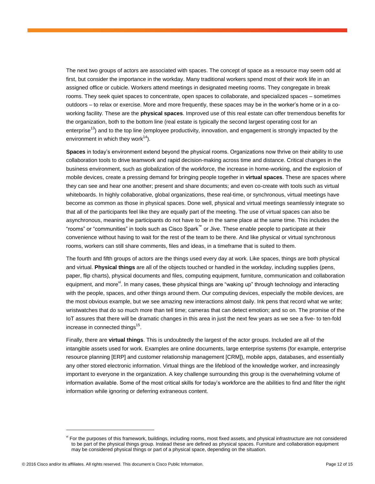The next two groups of actors are associated with spaces. The concept of space as a resource may seem odd at first, but consider the importance in the workday. Many traditional workers spend most of their work life in an assigned office or cubicle. Workers attend meetings in designated meeting rooms. They congregate in break rooms. They seek quiet spaces to concentrate, open spaces to collaborate, and specialized spaces – sometimes outdoors – to relax or exercise. More and more frequently, these spaces may be in the worker's home or in a coworking facility. These are the **physical spaces**. Improved use of this real estate can offer tremendous benefits for the organization, both to the bottom line (real estate is typically the second largest operating cost for an enterprise<sup>13</sup>) and to the top line (employee productivity, innovation, and engagement is strongly impacted by the environment in which they work $^{14}$ ).

**Spaces** in today's environment extend beyond the physical rooms. Organizations now thrive on their ability to use collaboration tools to drive teamwork and rapid decision-making across time and distance. Critical changes in the business environment, such as globalization of the workforce, the increase in home-working, and the explosion of mobile devices, create a pressing demand for bringing people together in **virtual spaces**. These are spaces where they can see and hear one another; present and share documents; and even co-create with tools such as virtual whiteboards. In highly collaborative, global organizations, these real-time, or synchronous, virtual meetings have become as common as those in physical spaces. Done well, physical and virtual meetings seamlessly integrate so that all of the participants feel like they are equally part of the meeting. The use of virtual spaces can also be asynchronous, meaning the participants do not have to be in the same place at the same time. This includes the "rooms" or "communities" in tools such as Cisco Spark™ or Jive. These enable people to participate at their convenience without having to wait for the rest of the team to be there. And like physical or virtual synchronous rooms, workers can still share comments, files and ideas, in a timeframe that is suited to them.

The fourth and fifth groups of actors are the things used every day at work. Like spaces, things are both physical and virtual. **Physical things** are all of the objects touched or handled in the workday, including supplies (pens, paper, flip charts), physical documents and files, computing equipment, furniture, communication and collaboration equipment, and more<sup>vi</sup>. In many cases, these physical things are "waking up" through technology and interacting with the people, spaces, and other things around them. Our computing devices, especially the mobile devices, are the most obvious example, but we see amazing new interactions almost daily. Ink pens that record what we write; wristwatches that do so much more than tell time; cameras that can detect emotion; and so on. The promise of the IoT assures that there will be dramatic changes in this area in just the next few years as we see a five- to ten-fold increase in connected things<sup>15</sup>.

Finally, there are **virtual things**. This is undoubtedly the largest of the actor groups. Included are all of the intangible assets used for work. Examples are online documents, large enterprise systems (for example, enterprise resource planning [ERP] and customer relationship management [CRM]), mobile apps, databases, and essentially any other stored electronic information. Virtual things are the lifeblood of the knowledge worker, and increasingly important to everyone in the organization. A key challenge surrounding this group is the overwhelming volume of information available. Some of the most critical skills for today's workforce are the abilities to find and filter the right information while ignoring or deferring extraneous content.

vi For the purposes of this framework, buildings, including rooms, most fixed assets, and physical infrastructure are not considered to be part of the physical things group. Instead these are defined as physical spaces. Furniture and collaboration equipment may be considered physical things or part of a physical space, depending on the situation.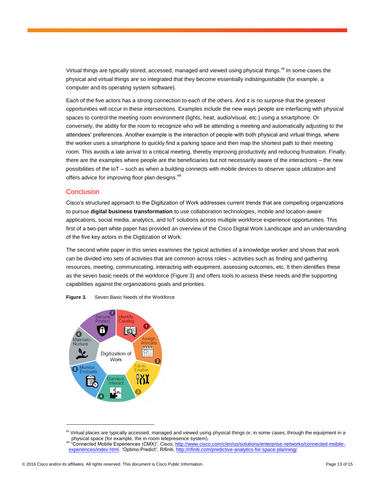Virtual things are typically stored, accessed, managed and viewed using physical things.<sup>vii</sup> In some cases the physical and virtual things are so integrated that they become essentially indistinguishable (for example, a computer and its operating system software).

Each of the five actors has a strong connection to each of the others. And it is no surprise that the greatest opportunities will occur in these intersections. Examples include the new ways people are interfacing with physical spaces to control the meeting room environment (lights, heat, audio/visual, etc.) using a smartphone. Or conversely, the ability for the room to recognize who will be attending a meeting and automatically adjusting to the attendees' preferences. Another example is the interaction of people with both physical and virtual things, where the worker uses a smartphone to quickly find a parking space and then map the shortest path to their meeting room. This avoids a late arrival to a critical meeting, thereby improving productivity and reducing frustration. Finally, there are the examples where people are the beneficiaries but not necessarily aware of the interactions – the new possibilities of the IoT – such as when a building connects with mobile devices to observe space utilization and offers advice for improving floor plan designs. Vili

#### **Conclusion**

Cisco's structured approach to the Digitization of Work addresses current trends that are compelling organizations to pursue **digital business transformation** to use collaboration technologies, mobile and location-aware applications, social media, analytics, and IoT solutions across multiple workforce experience opportunities. This first of a two-part white paper has provided an overview of the Cisco Digital Work Landscape and an understanding of the five key actors in the Digitization of Work.

The second white paper in this series examines the typical activities of a knowledge worker and shows that work can be divided into sets of activities that are common across roles – activities such as finding and gathering resources, meeting, communicating, interacting with equipment, assessing outcomes, etc. It then identifies these as the seven basic needs of the workforce (Figure 3) and offers tools to assess these needs and the supporting capabilities against the organizations goals and priorities.



**Figure 3.** Seven Basic Needs of the Workforce

vii Virtual places are typically accessed, managed and viewed using physical things or, in some cases, through the equipment in a physical space (for example, the in-room telepresence system).

viii "Connected Mobile Experiences (CMX)", Cisco, <u>http://www.cisco.com/c/en/us/solutions/enterprise-networks/connected-mobile-</u> [experiences/index.html.](http://www.cisco.com/c/en/us/solutions/enterprise-networks/connected-mobile-experiences/index.html) "Optimo Predict", Rifiniti[, http://rifiniti.com/predictive-analytics-for-space-planning/.](http://rifiniti.com/predictive-analytics-for-space-planning/)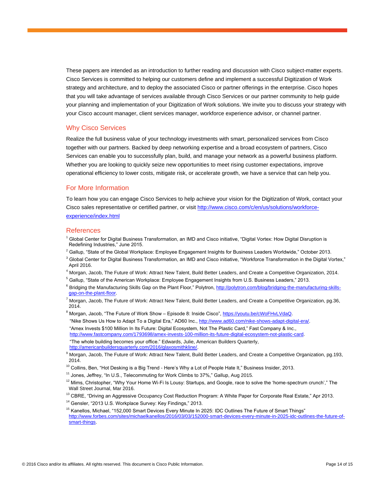These papers are intended as an introduction to further reading and discussion with Cisco subject-matter experts. Cisco Services is committed to helping our customers define and implement a successful Digitization of Work strategy and architecture, and to deploy the associated Cisco or partner offerings in the enterprise. Cisco hopes that you will take advantage of services available through Cisco Services or our partner community to help guide your planning and implementation of your Digitization of Work solutions. We invite you to discuss your strategy with your Cisco account manager, client services manager, workforce experience advisor, or channel partner.

#### <span id="page-13-0"></span>Why Cisco Services

Realize the full business value of your technology investments with smart, personalized services from Cisco together with our partners. Backed by deep networking expertise and a broad ecosystem of partners, Cisco Services can enable you to successfully plan, build, and manage your network as a powerful business platform. Whether you are looking to quickly seize new opportunities to meet rising customer expectations, improve operational efficiency to lower costs, mitigate risk, or accelerate growth, we have a service that can help you.

#### <span id="page-13-1"></span>For More Information

To learn how you can engage Cisco Services to help achieve your vision for the Digitization of Work, contact your Cisco sales representative or certified partner, or visi[t http://www.cisco.com/c/en/us/solutions/workforce](http://www.cisco.com/c/en/us/solutions/workforce-experience/index.html)[experience/index.html](http://www.cisco.com/c/en/us/solutions/workforce-experience/index.html)

#### <span id="page-13-2"></span>References

- <sup>1</sup> Global Center for Digital Business Transformation, an IMD and Cisco initiative, "Digital Vortex: How Digital Disruption is Redefining Industries," June 2015.
- $^2$  Gallup, "State of the Global Workplace: Employee Engagement Insights for Business Leaders Worldwide," October 2013.
- $3$  Global Center for Digital Business Transformation, an IMD and Cisco initiative, "Workforce Transformation in the Digital Vortex," April 2016.
- <sup>4</sup> Morgan, Jacob, The Future of Work: Attract New Talent, Build Better Leaders, and Create a Competitive Organization, 2014.
- <sup>5</sup> Gallup, "State of the American Workplace: Employee Engagement Insights from U.S. Business Leaders," 2013. <sup>6</sup> Bridging the Manufacturing Skills Gap on the Plant Floor," Polytron, [http://polytron.com/blog/bridging-the-manufacturing-skills](http://polytron.com/blog/bridging-the-manufacturing-skills-gap-on-the-plant-floor)[gap-on-the-plant-floor.](http://polytron.com/blog/bridging-the-manufacturing-skills-gap-on-the-plant-floor)

<sup>7</sup> Morgan, Jacob, The Future of Work: Attract New Talent, Build Better Leaders, and Create a Competitive Organization, pg.36, 2014.

8 Morgan, Jacob, "The Future of Work Show – Episode 8: Inside Cisco", [https://youtu.be/cWoFHvLVdaQ.](https://youtu.be/cWoFHvLVdaQ) "Nike Shows Us How to Adapt To a Digital Era," AD60 Inc., [http://www.ad60.com/nike-shows-adapt-digital-era/.](http://www.ad60.com/nike-shows-adapt-digital-era/) "Amex Invests \$100 Million In Its Future: Digital Ecosystem, Not The Plastic Card," Fast Company & Inc., [http://www.fastcompany.com/1793698/amex-invests-100-million-its-future-digital-ecosystem-not-plastic-card.](http://www.fastcompany.com/1793698/amex-invests-100-million-its-future-digital-ecosystem-not-plastic-card)

"The whole building becomes your office." Edwards, Julie, American Builders Quarterly, [http://americanbuildersquarterly.com/2016/glaxosmithkline/.](http://americanbuildersquarterly.com/2016/glaxosmithkline/)

- <sup>10</sup> Collins, Ben, "Hot Desking is a Big Trend Here's Why a Lot of People Hate It," Business Insider, 2013.
- <sup>11</sup> Jones, Jeffrey, "In U.S., Telecommuting for Work Climbs to 37%," Gallup, Aug 2015.

 $12$  Mims, Christopher, "Why Your Home Wi-Fi Is Lousy: Startups, and Google, race to solve the 'home-spectrum crunch'," The Wall Street Journal, Mar 2016.

- <sup>13</sup> CBRE, "Driving an Aggressive Occupancy Cost Reduction Program: A White Paper for Corporate Real Estate," Apr 2013.
- <sup>14</sup> Gensler, "2013 U.S. Workplace Survey: Key Findings," 2013.

<sup>15</sup> Kanellos, Michael, "152,000 Smart Devices Every Minute In 2025: IDC Outlines The Future of Smart Things" [http://www.forbes.com/sites/michaelkanellos/2016/03/03/152000-smart-devices-every-minute-in-2025-idc-outlines-the-future-of](http://www.forbes.com/sites/michaelkanellos/2016/03/03/152000-smart-devices-every-minute-in-2025-idc-outlines-the-future-of-smart-things)[smart-things.](http://www.forbes.com/sites/michaelkanellos/2016/03/03/152000-smart-devices-every-minute-in-2025-idc-outlines-the-future-of-smart-things)

<sup>9</sup> Morgan, Jacob, The Future of Work: Attract New Talent, Build Better Leaders, and Create a Competitive Organization, pg.193, 2014.